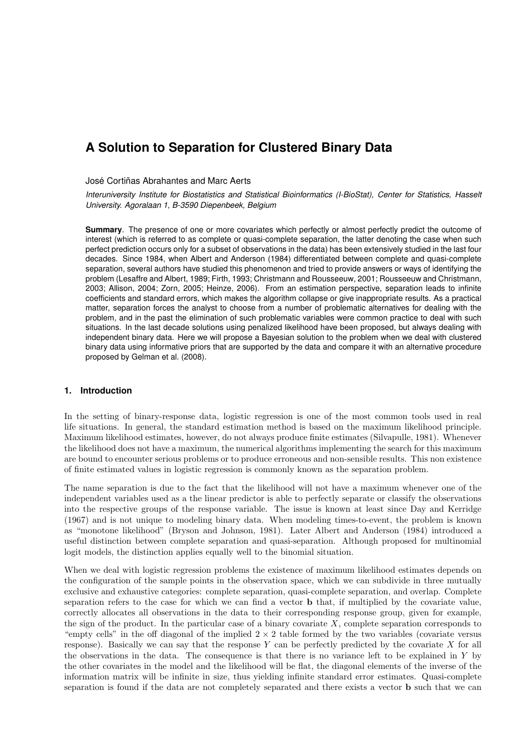# José Cortiñas Abrahantes and Marc Aerts

*Interuniversity Institute for Biostatistics and Statistical Bioinformatics (I-BioStat), Center for Statistics, Hasselt University. Agoralaan 1, B-3590 Diepenbeek, Belgium*

**Summary**. The presence of one or more covariates which perfectly or almost perfectly predict the outcome of interest (which is referred to as complete or quasi-complete separation, the latter denoting the case when such perfect prediction occurs only for a subset of observations in the data) has been extensively studied in the last four decades. Since 1984, when Albert and Anderson (1984) differentiated between complete and quasi-complete separation, several authors have studied this phenomenon and tried to provide answers or ways of identifying the problem (Lesaffre and Albert, 1989; Firth, 1993; Christmann and Rousseeuw, 2001; Rousseeuw and Christmann, 2003; Allison, 2004; Zorn, 2005; Heinze, 2006). From an estimation perspective, separation leads to infinite coefficients and standard errors, which makes the algorithm collapse or give inappropriate results. As a practical matter, separation forces the analyst to choose from a number of problematic alternatives for dealing with the problem, and in the past the elimination of such problematic variables were common practice to deal with such situations. In the last decade solutions using penalized likelihood have been proposed, but always dealing with independent binary data. Here we will propose a Bayesian solution to the problem when we deal with clustered binary data using informative priors that are supported by the data and compare it with an alternative procedure proposed by Gelman et al. (2008).

# **1. Introduction**

In the setting of binary-response data, logistic regression is one of the most common tools used in real life situations. In general, the standard estimation method is based on the maximum likelihood principle. Maximum likelihood estimates, however, do not always produce finite estimates (Silvapulle, 1981). Whenever the likelihood does not have a maximum, the numerical algorithms implementing the search for this maximum are bound to encounter serious problems or to produce erroneous and non-sensible results. This non existence of finite estimated values in logistic regression is commonly known as the separation problem.

The name separation is due to the fact that the likelihood will not have a maximum whenever one of the independent variables used as a the linear predictor is able to perfectly separate or classify the observations into the respective groups of the response variable. The issue is known at least since Day and Kerridge (1967) and is not unique to modeling binary data. When modeling times-to-event, the problem is known as "monotone likelihood" (Bryson and Johnson, 1981). Later Albert and Anderson (1984) introduced a useful distinction between complete separation and quasi-separation. Although proposed for multinomial logit models, the distinction applies equally well to the binomial situation.

When we deal with logistic regression problems the existence of maximum likelihood estimates depends on the configuration of the sample points in the observation space, which we can subdivide in three mutually exclusive and exhaustive categories: complete separation, quasi-complete separation, and overlap. Complete separation refers to the case for which we can find a vector **b** that, if multiplied by the covariate value, correctly allocates all observations in the data to their corresponding response group, given for example, the sign of the product. In the particular case of a binary covariate  $X$ , complete separation corresponds to "empty cells" in the off diagonal of the implied  $2 \times 2$  table formed by the two variables (covariate versus response). Basically we can say that the response *Y* can be perfectly predicted by the covariate *X* for all the observations in the data. The consequence is that there is no variance left to be explained in *Y* by the other covariates in the model and the likelihood will be flat, the diagonal elements of the inverse of the information matrix will be infinite in size, thus yielding infinite standard error estimates. Quasi-complete separation is found if the data are not completely separated and there exists a vector **b** such that we can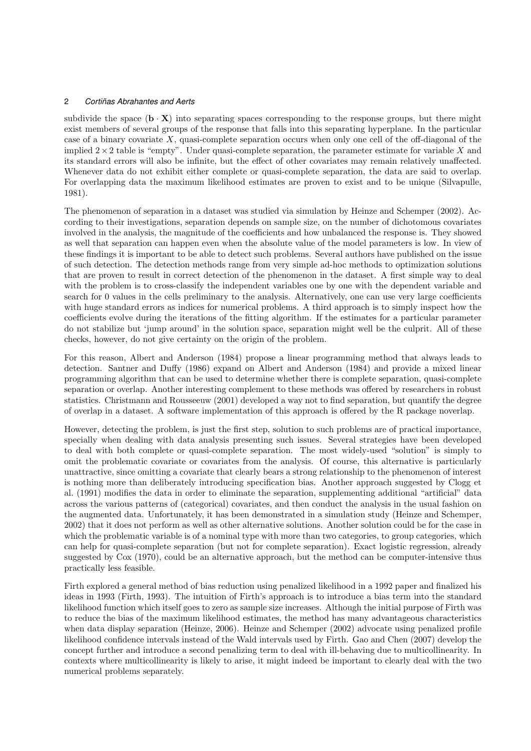subdivide the space  $({\bf b} \cdot {\bf X})$  into separating spaces corresponding to the response groups, but there might exist members of several groups of the response that falls into this separating hyperplane. In the particular case of a binary covariate *X*, quasi-complete separation occurs when only one cell of the off-diagonal of the implied 2*×*2 table is "empty". Under quasi-complete separation, the parameter estimate for variable *X* and its standard errors will also be infinite, but the effect of other covariates may remain relatively unaffected. Whenever data do not exhibit either complete or quasi-complete separation, the data are said to overlap. For overlapping data the maximum likelihood estimates are proven to exist and to be unique (Silvapulle, 1981).

The phenomenon of separation in a dataset was studied via simulation by Heinze and Schemper (2002). According to their investigations, separation depends on sample size, on the number of dichotomous covariates involved in the analysis, the magnitude of the coefficients and how unbalanced the response is. They showed as well that separation can happen even when the absolute value of the model parameters is low. In view of these findings it is important to be able to detect such problems. Several authors have published on the issue of such detection. The detection methods range from very simple ad-hoc methods to optimization solutions that are proven to result in correct detection of the phenomenon in the dataset. A first simple way to deal with the problem is to cross-classify the independent variables one by one with the dependent variable and search for 0 values in the cells preliminary to the analysis. Alternatively, one can use very large coefficients with huge standard errors as indices for numerical problems. A third approach is to simply inspect how the coefficients evolve during the iterations of the fitting algorithm. If the estimates for a particular parameter do not stabilize but 'jump around' in the solution space, separation might well be the culprit. All of these checks, however, do not give certainty on the origin of the problem.

For this reason, Albert and Anderson (1984) propose a linear programming method that always leads to detection. Santner and Duffy (1986) expand on Albert and Anderson (1984) and provide a mixed linear programming algorithm that can be used to determine whether there is complete separation, quasi-complete separation or overlap. Another interesting complement to these methods was offered by researchers in robust statistics. Christmann and Rousseeuw (2001) developed a way not to find separation, but quantify the degree of overlap in a dataset. A software implementation of this approach is offered by the R package noverlap.

However, detecting the problem, is just the first step, solution to such problems are of practical importance, specially when dealing with data analysis presenting such issues. Several strategies have been developed to deal with both complete or quasi-complete separation. The most widely-used "solution" is simply to omit the problematic covariate or covariates from the analysis. Of course, this alternative is particularly unattractive, since omitting a covariate that clearly bears a strong relationship to the phenomenon of interest is nothing more than deliberately introducing specification bias. Another approach suggested by Clogg et al. (1991) modifies the data in order to eliminate the separation, supplementing additional "artificial" data across the various patterns of (categorical) covariates, and then conduct the analysis in the usual fashion on the augmented data. Unfortunately, it has been demonstrated in a simulation study (Heinze and Schemper, 2002) that it does not perform as well as other alternative solutions. Another solution could be for the case in which the problematic variable is of a nominal type with more than two categories, to group categories, which can help for quasi-complete separation (but not for complete separation). Exact logistic regression, already suggested by Cox (1970), could be an alternative approach, but the method can be computer-intensive thus practically less feasible.

Firth explored a general method of bias reduction using penalized likelihood in a 1992 paper and finalized his ideas in 1993 (Firth, 1993). The intuition of Firth's approach is to introduce a bias term into the standard likelihood function which itself goes to zero as sample size increases. Although the initial purpose of Firth was to reduce the bias of the maximum likelihood estimates, the method has many advantageous characteristics when data display separation (Heinze, 2006). Heinze and Schemper (2002) advocate using penalized profile likelihood confidence intervals instead of the Wald intervals used by Firth. Gao and Chen (2007) develop the concept further and introduce a second penalizing term to deal with ill-behaving due to multicollinearity. In contexts where multicollinearity is likely to arise, it might indeed be important to clearly deal with the two numerical problems separately.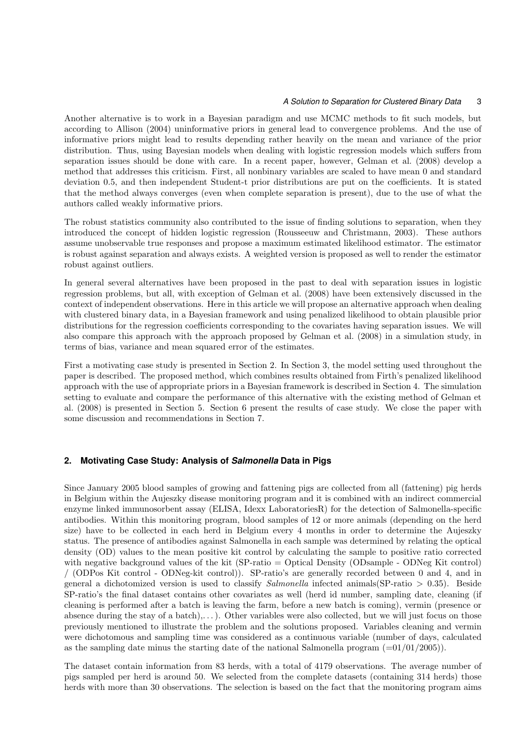Another alternative is to work in a Bayesian paradigm and use MCMC methods to fit such models, but according to Allison (2004) uninformative priors in general lead to convergence problems. And the use of informative priors might lead to results depending rather heavily on the mean and variance of the prior distribution. Thus, using Bayesian models when dealing with logistic regression models which suffers from separation issues should be done with care. In a recent paper, however, Gelman et al. (2008) develop a method that addresses this criticism. First, all nonbinary variables are scaled to have mean 0 and standard deviation 0*.*5, and then independent Student-t prior distributions are put on the coefficients. It is stated that the method always converges (even when complete separation is present), due to the use of what the authors called weakly informative priors.

The robust statistics community also contributed to the issue of finding solutions to separation, when they introduced the concept of hidden logistic regression (Rousseeuw and Christmann, 2003). These authors assume unobservable true responses and propose a maximum estimated likelihood estimator. The estimator is robust against separation and always exists. A weighted version is proposed as well to render the estimator robust against outliers.

In general several alternatives have been proposed in the past to deal with separation issues in logistic regression problems, but all, with exception of Gelman et al. (2008) have been extensively discussed in the context of independent observations. Here in this article we will propose an alternative approach when dealing with clustered binary data, in a Bayesian framework and using penalized likelihood to obtain plausible prior distributions for the regression coefficients corresponding to the covariates having separation issues. We will also compare this approach with the approach proposed by Gelman et al. (2008) in a simulation study, in terms of bias, variance and mean squared error of the estimates.

First a motivating case study is presented in Section 2. In Section 3, the model setting used throughout the paper is described. The proposed method, which combines results obtained from Firth's penalized likelihood approach with the use of appropriate priors in a Bayesian framework is described in Section 4. The simulation setting to evaluate and compare the performance of this alternative with the existing method of Gelman et al. (2008) is presented in Section 5. Section 6 present the results of case study. We close the paper with some discussion and recommendations in Section 7.

# **2. Motivating Case Study: Analysis of** *Salmonella* **Data in Pigs**

Since January 2005 blood samples of growing and fattening pigs are collected from all (fattening) pig herds in Belgium within the Aujeszky disease monitoring program and it is combined with an indirect commercial enzyme linked immunosorbent assay (ELISA, Idexx LaboratoriesR) for the detection of Salmonella-specific antibodies. Within this monitoring program, blood samples of 12 or more animals (depending on the herd size) have to be collected in each herd in Belgium every 4 months in order to determine the Aujeszky status. The presence of antibodies against Salmonella in each sample was determined by relating the optical density (OD) values to the mean positive kit control by calculating the sample to positive ratio corrected with negative background values of the kit (SP-ratio = Optical Density (ODsample - ODNeg Kit control) / (ODPos Kit control - ODNeg-kit control)). SP-ratio's are generally recorded between 0 and 4, and in general a dichotomized version is used to classify *Salmonella* infected animals(SP-ratio *>* 0*.*35). Beside SP-ratio's the final dataset contains other covariates as well (herd id number, sampling date, cleaning (if cleaning is performed after a batch is leaving the farm, before a new batch is coming), vermin (presence or absence during the stay of a batch),...). Other variables were also collected, but we will just focus on those previously mentioned to illustrate the problem and the solutions proposed. Variables cleaning and vermin were dichotomous and sampling time was considered as a continuous variable (number of days, calculated as the sampling date minus the starting date of the national Salmonella program  $(=01/01/2005)$ .

The dataset contain information from 83 herds, with a total of 4179 observations. The average number of pigs sampled per herd is around 50. We selected from the complete datasets (containing 314 herds) those herds with more than 30 observations. The selection is based on the fact that the monitoring program aims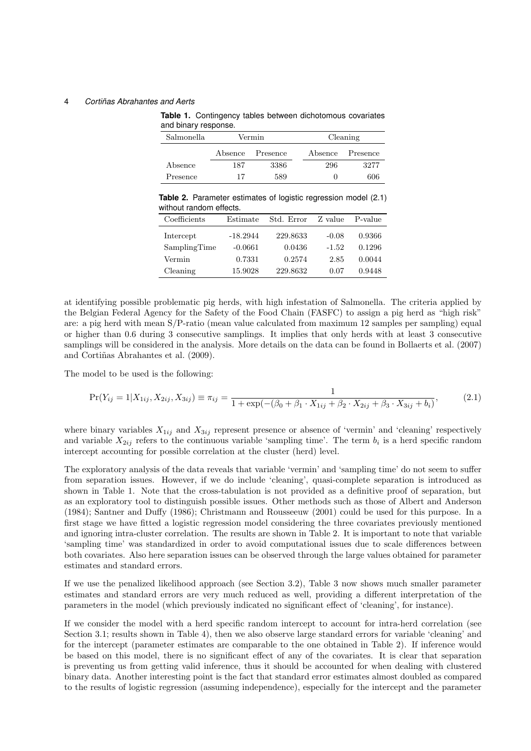**Table 1.** Contingency tables between dichotomous covariates and binary response.

| Salmonella |         | Vermin   |         | Cleaning |
|------------|---------|----------|---------|----------|
|            | Absence | Presence | Absence | Presence |
| Absence    | 187     | 3386     | 296     | 3277     |
| Presence   | 17      | 589      |         | 606      |

**Table 2.** Parameter estimates of logistic regression model (2.1) without random effects.

| Coefficients | Estimate   | Std. Error | Z value | P-value |
|--------------|------------|------------|---------|---------|
| Intercept    | $-18.2944$ | 229.8633   | $-0.08$ | 0.9366  |
| SamplingTime | $-0.0661$  | 0.0436     | $-1.52$ | 0.1296  |
| Vermin       | 0.7331     | 0.2574     | 2.85    | 0.0044  |
| Cleaning     | 15.9028    | 229.8632   | 0.07    | 0.9448  |

at identifying possible problematic pig herds, with high infestation of Salmonella. The criteria applied by the Belgian Federal Agency for the Safety of the Food Chain (FASFC) to assign a pig herd as "high risk" are: a pig herd with mean S/P-ratio (mean value calculated from maximum 12 samples per sampling) equal or higher than 0.6 during 3 consecutive samplings. It implies that only herds with at least 3 consecutive samplings will be considered in the analysis. More details on the data can be found in Bollaerts et al. (2007) and Cortiñas Abrahantes et al. (2009).

The model to be used is the following:

$$
\Pr(Y_{ij} = 1 | X_{1ij}, X_{2ij}, X_{3ij}) \equiv \pi_{ij} = \frac{1}{1 + \exp(-( \beta_0 + \beta_1 \cdot X_{1ij} + \beta_2 \cdot X_{2ij} + \beta_3 \cdot X_{3ij} + b_i)},
$$
(2.1)

where binary variables  $X_{1ij}$  and  $X_{3ij}$  represent presence or absence of 'vermin' and 'cleaning' respectively and variable  $X_{2ij}$  refers to the continuous variable 'sampling time'. The term  $b_i$  is a herd specific random intercept accounting for possible correlation at the cluster (herd) level.

The exploratory analysis of the data reveals that variable 'vermin' and 'sampling time' do not seem to suffer from separation issues. However, if we do include 'cleaning', quasi-complete separation is introduced as shown in Table 1. Note that the cross-tabulation is not provided as a definitive proof of separation, but as an exploratory tool to distinguish possible issues. Other methods such as those of Albert and Anderson (1984); Santner and Duffy (1986); Christmann and Rousseeuw (2001) could be used for this purpose. In a first stage we have fitted a logistic regression model considering the three covariates previously mentioned and ignoring intra-cluster correlation. The results are shown in Table 2. It is important to note that variable 'sampling time' was standardized in order to avoid computational issues due to scale differences between both covariates. Also here separation issues can be observed through the large values obtained for parameter estimates and standard errors.

If we use the penalized likelihood approach (see Section 3.2), Table 3 now shows much smaller parameter estimates and standard errors are very much reduced as well, providing a different interpretation of the parameters in the model (which previously indicated no significant effect of 'cleaning', for instance).

If we consider the model with a herd specific random intercept to account for intra-herd correlation (see Section 3.1; results shown in Table 4), then we also observe large standard errors for variable 'cleaning' and for the intercept (parameter estimates are comparable to the one obtained in Table 2). If inference would be based on this model, there is no significant effect of any of the covariates. It is clear that separation is preventing us from getting valid inference, thus it should be accounted for when dealing with clustered binary data. Another interesting point is the fact that standard error estimates almost doubled as compared to the results of logistic regression (assuming independence), especially for the intercept and the parameter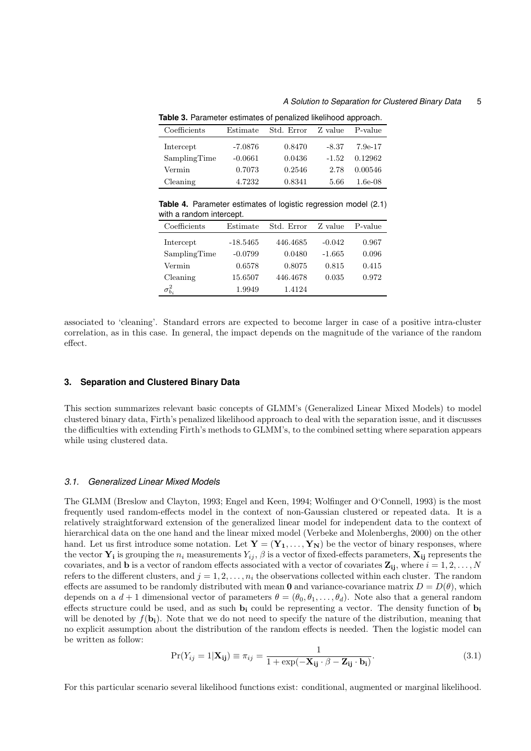| <b>Table 0.</b> Talameter commates or perialized intellitioua approach. |           |            |         |            |
|-------------------------------------------------------------------------|-----------|------------|---------|------------|
| Coefficients                                                            | Estimate  | Std. Error | Z value | P-value    |
| Intercept                                                               | $-7.0876$ | 0.8470     | $-8.37$ | 7.9e-17    |
| SamplingTime                                                            | $-0.0661$ | 0.0436     | $-1.52$ | 0.12962    |
| Vermin                                                                  | 0.7073    | 0.2546     | 2.78    | 0.00546    |
| Cleaning                                                                | 4.7232    | 0.8341     | 5.66    | $1.6e-0.8$ |

**Table 3.** Parameter estimates of penalized likelihood approach.

**Table 4.** Parameter estimates of logistic regression model (2.1) with a random intercept.

| Coefficients     | Estimate   | Std. Error | Z value  | P-value |
|------------------|------------|------------|----------|---------|
| Intercept        | $-18.5465$ | 446.4685   | $-0.042$ | 0.967   |
| SamplingTime     | $-0.0799$  | 0.0480     | $-1.665$ | 0.096   |
| Vermin           | 0.6578     | 0.8075     | 0.815    | 0.415   |
| Cleaning         | 15.6507    | 446.4678   | 0.035    | 0.972   |
| $\sigma_{b_i}^2$ | 1.9949     | 1.4124     |          |         |

associated to 'cleaning'. Standard errors are expected to become larger in case of a positive intra-cluster correlation, as in this case. In general, the impact depends on the magnitude of the variance of the random effect.

## **3. Separation and Clustered Binary Data**

This section summarizes relevant basic concepts of GLMM's (Generalized Linear Mixed Models) to model clustered binary data, Firth's penalized likelihood approach to deal with the separation issue, and it discusses the difficulties with extending Firth's methods to GLMM's, to the combined setting where separation appears while using clustered data.

## *3.1. Generalized Linear Mixed Models*

The GLMM (Breslow and Clayton, 1993; Engel and Keen, 1994; Wolfinger and O'Connell, 1993) is the most frequently used random-effects model in the context of non-Gaussian clustered or repeated data. It is a relatively straightforward extension of the generalized linear model for independent data to the context of hierarchical data on the one hand and the linear mixed model (Verbeke and Molenberghs, 2000) on the other hand. Let us first introduce some notation. Let  $\mathbf{Y} = (\mathbf{Y}_1, \dots, \mathbf{Y}_N)$  be the vector of binary responses, where the vector  $\mathbf{Y_i}$  is grouping the  $n_i$  measurements  $Y_{ij}$ ,  $\beta$  is a vector of fixed-effects parameters,  $\mathbf{X_{ij}}$  represents the covariates, and **b** is a vector of random effects associated with a vector of covariates  $\mathbf{Z}_{ij}$ , where  $i = 1, 2, \ldots, N$ refers to the different clusters, and  $j = 1, 2, \ldots, n_i$  the observations collected within each cluster. The random effects are assumed to be randomly distributed with mean **0** and variance-covariance matrix  $D = D(\theta)$ , which depends on a  $d+1$  dimensional vector of parameters  $\theta = (\theta_0, \theta_1, \dots, \theta_d)$ . Note also that a general random effects structure could be used, and as such **b<sup>i</sup>** could be representing a vector. The density function of **b<sup>i</sup>** will be denoted by  $f(\mathbf{b_i})$ . Note that we do not need to specify the nature of the distribution, meaning that no explicit assumption about the distribution of the random effects is needed. Then the logistic model can be written as follow:

$$
Pr(Y_{ij} = 1 | \mathbf{X}_{ij}) \equiv \pi_{ij} = \frac{1}{1 + \exp(-\mathbf{X}_{ij} \cdot \beta - \mathbf{Z}_{ij} \cdot \mathbf{b}_{i})}.
$$
\n(3.1)

For this particular scenario several likelihood functions exist: conditional, augmented or marginal likelihood.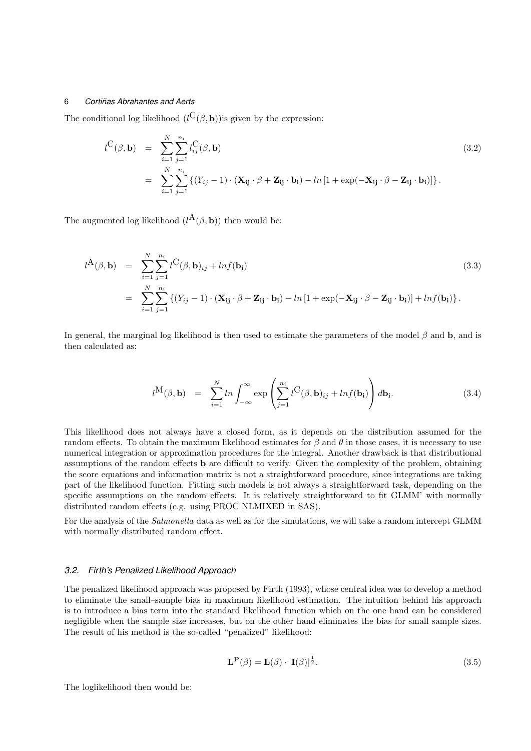The conditional log likelihood  $(l^{\mathbf{C}}(\beta, \mathbf{b}))$  is given by the expression:

$$
l^{C}(\beta, \mathbf{b}) = \sum_{i=1}^{N} \sum_{j=1}^{n_i} l^{C}_{ij}(\beta, \mathbf{b})
$$
  
= 
$$
\sum_{i=1}^{N} \sum_{j=1}^{n_i} \left\{ (Y_{ij} - 1) \cdot (\mathbf{X}_{ij} \cdot \beta + \mathbf{Z}_{ij} \cdot \mathbf{b}_{i}) - ln\left[1 + \exp(-\mathbf{X}_{ij} \cdot \beta - \mathbf{Z}_{ij} \cdot \mathbf{b}_{i})\right] \right\}.
$$
 (3.2)

The augmented log likelihood  $(l^{\mathbf{A}}(\beta, \mathbf{b}))$  then would be:

$$
l^{A}(\beta, \mathbf{b}) = \sum_{i=1}^{N} \sum_{j=1}^{n_{i}} l^{C}(\beta, \mathbf{b})_{ij} + ln f(\mathbf{b_{i}})
$$
\n
$$
= \sum_{i=1}^{N} \sum_{j=1}^{n_{i}} \left\{ (Y_{ij} - 1) \cdot (\mathbf{X_{ij}} \cdot \beta + \mathbf{Z_{ij}} \cdot \mathbf{b_{i}}) - ln \left[ 1 + \exp(-\mathbf{X_{ij}} \cdot \beta - \mathbf{Z_{ij}} \cdot \mathbf{b_{i}}) \right] + ln f(\mathbf{b_{i}}) \right\}.
$$
\n(3.3)

In general, the marginal log likelihood is then used to estimate the parameters of the model *β* and **b**, and is then calculated as:

$$
l^{\mathbf{M}}(\boldsymbol{\beta},\mathbf{b}) = \sum_{i=1}^{N} ln \int_{-\infty}^{\infty} exp \left( \sum_{j=1}^{n_i} l^{\mathbf{C}}(\boldsymbol{\beta},\mathbf{b})_{ij} + ln f(\mathbf{b_i}) \right) d\mathbf{b_i}.
$$
 (3.4)

This likelihood does not always have a closed form, as it depends on the distribution assumed for the random effects. To obtain the maximum likelihood estimates for  $\beta$  and  $\theta$  in those cases, it is necessary to use numerical integration or approximation procedures for the integral. Another drawback is that distributional assumptions of the random effects **b** are difficult to verify. Given the complexity of the problem, obtaining the score equations and information matrix is not a straightforward procedure, since integrations are taking part of the likelihood function. Fitting such models is not always a straightforward task, depending on the specific assumptions on the random effects. It is relatively straightforward to fit GLMM' with normally distributed random effects (e.g. using PROC NLMIXED in SAS).

For the analysis of the *Salmonella* data as well as for the simulations, we will take a random intercept GLMM with normally distributed random effect.

## *3.2. Firth's Penalized Likelihood Approach*

The penalized likelihood approach was proposed by Firth (1993), whose central idea was to develop a method to eliminate the small–sample bias in maximum likelihood estimation. The intuition behind his approach is to introduce a bias term into the standard likelihood function which on the one hand can be considered negligible when the sample size increases, but on the other hand eliminates the bias for small sample sizes. The result of his method is the so-called "penalized" likelihood:

$$
\mathbf{L}^{\mathbf{P}}(\beta) = \mathbf{L}(\beta) \cdot |\mathbf{I}(\beta)|^{\frac{1}{2}}.
$$
\n(3.5)

The loglikelihood then would be: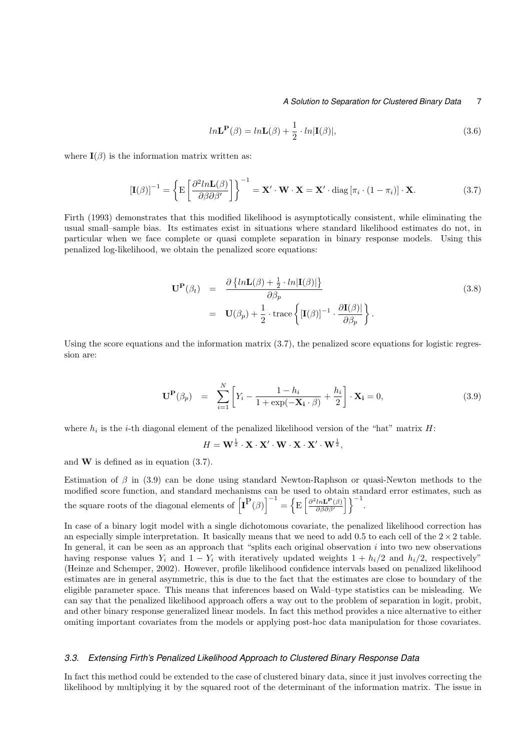$$
ln\mathbf{L}^{\mathbf{P}}(\beta) = ln\mathbf{L}(\beta) + \frac{1}{2} \cdot ln|\mathbf{I}(\beta)|,
$$
\n(3.6)

where  $\mathbf{I}(\beta)$  is the information matrix written as:

$$
\left[\mathbf{I}(\beta)\right]^{-1} = \left\{ \mathbf{E} \left[ \frac{\partial^2 ln \mathbf{L}(\beta)}{\partial \beta \partial \beta'} \right] \right\}^{-1} = \mathbf{X}' \cdot \mathbf{W} \cdot \mathbf{X} = \mathbf{X}' \cdot \text{diag} \left[ \pi_i \cdot (1 - \pi_i) \right] \cdot \mathbf{X}.
$$
 (3.7)

Firth (1993) demonstrates that this modified likelihood is asymptotically consistent, while eliminating the usual small–sample bias. Its estimates exist in situations where standard likelihood estimates do not, in particular when we face complete or quasi complete separation in binary response models. Using this penalized log-likelihood, we obtain the penalized score equations:

$$
\mathbf{U}^{\mathbf{P}}(\beta_t) = \frac{\partial \{ln\mathbf{L}(\beta) + \frac{1}{2} \cdot ln|\mathbf{I}(\beta)|\}}{\partial \beta_p}
$$
\n
$$
= \mathbf{U}(\beta_p) + \frac{1}{2} \cdot \text{trace}\left\{[\mathbf{I}(\beta)]^{-1} \cdot \frac{\partial \mathbf{I}(\beta)|}{\partial \beta_p}\right\}.
$$
\n(3.8)

Using the score equations and the information matrix (3.7), the penalized score equations for logistic regression are:

$$
\mathbf{U}^{\mathbf{P}}(\beta_p) = \sum_{i=1}^{N} \left[ Y_i - \frac{1 - h_i}{1 + \exp(-\mathbf{X_i} \cdot \beta)} + \frac{h_i}{2} \right] \cdot \mathbf{X_i} = 0,
$$
\n(3.9)

where  $h_i$  is the *i*-th diagonal element of the penalized likelihood version of the "hat" matrix  $H$ :

$$
H = \mathbf{W}^{\frac{1}{2}} \cdot \mathbf{X} \cdot \mathbf{X}' \cdot \mathbf{W} \cdot \mathbf{X} \cdot \mathbf{X}' \cdot \mathbf{W}^{\frac{1}{2}},
$$

and **W** is defined as in equation (3.7).

Estimation of *β* in (3.9) can be done using standard Newton-Raphson or quasi-Newton methods to the modified score function, and standard mechanisms can be used to obtain standard error estimates, such as the square roots of the diagonal elements of  $\left[\mathbf{I}^{\mathbf{P}}(\beta)\right]^{-1} = \left\{\mathrm{E}\left[\frac{\partial^2 ln \mathbf{L}^{\mathbf{P}}(\beta)}{\partial \beta \partial \beta'}\right]\right\}^{-1}$  $\left\{\frac{ln\mathbf{L}^{\mathbf{P}}(\beta)}{\partial\beta\partial\beta'}\right\}\right\}^{-1}.$ 

In case of a binary logit model with a single dichotomous covariate, the penalized likelihood correction has an especially simple interpretation. It basically means that we need to add 0*.*5 to each cell of the 2*×*2 table. In general, it can be seen as an approach that "splits each original observation *i* into two new observations having response values  $Y_i$  and  $1 - Y_i$  with iteratively updated weights  $1 + h_i/2$  and  $h_i/2$ , respectively" (Heinze and Schemper, 2002). However, profile likelihood confidence intervals based on penalized likelihood estimates are in general asymmetric, this is due to the fact that the estimates are close to boundary of the eligible parameter space. This means that inferences based on Wald–type statistics can be misleading. We can say that the penalized likelihood approach offers a way out to the problem of separation in logit, probit, and other binary response generalized linear models. In fact this method provides a nice alternative to either omiting important covariates from the models or applying post-hoc data manipulation for those covariates.

## *3.3. Extensing Firth's Penalized Likelihood Approach to Clustered Binary Response Data*

In fact this method could be extended to the case of clustered binary data, since it just involves correcting the likelihood by multiplying it by the squared root of the determinant of the information matrix. The issue in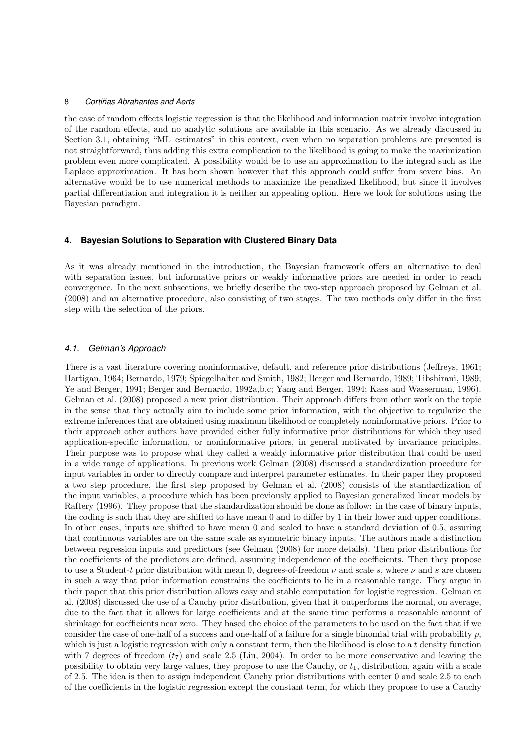the case of random effects logistic regression is that the likelihood and information matrix involve integration of the random effects, and no analytic solutions are available in this scenario. As we already discussed in Section 3.1, obtaining "ML–estimates" in this context, even when no separation problems are presented is not straightforward, thus adding this extra complication to the likelihood is going to make the maximization problem even more complicated. A possibility would be to use an approximation to the integral such as the Laplace approximation. It has been shown however that this approach could suffer from severe bias. An alternative would be to use numerical methods to maximize the penalized likelihood, but since it involves partial differentiation and integration it is neither an appealing option. Here we look for solutions using the Bayesian paradigm.

## **4. Bayesian Solutions to Separation with Clustered Binary Data**

As it was already mentioned in the introduction, the Bayesian framework offers an alternative to deal with separation issues, but informative priors or weakly informative priors are needed in order to reach convergence. In the next subsections, we briefly describe the two-step approach proposed by Gelman et al. (2008) and an alternative procedure, also consisting of two stages. The two methods only differ in the first step with the selection of the priors.

## *4.1. Gelman's Approach*

There is a vast literature covering noninformative, default, and reference prior distributions (Jeffreys, 1961; Hartigan, 1964; Bernardo, 1979; Spiegelhalter and Smith, 1982; Berger and Bernardo, 1989; Tibshirani, 1989; Ye and Berger, 1991; Berger and Bernardo, 1992a,b,c; Yang and Berger, 1994; Kass and Wasserman, 1996). Gelman et al. (2008) proposed a new prior distribution. Their approach differs from other work on the topic in the sense that they actually aim to include some prior information, with the objective to regularize the extreme inferences that are obtained using maximum likelihood or completely noninformative priors. Prior to their approach other authors have provided either fully informative prior distributions for which they used application-specific information, or noninformative priors, in general motivated by invariance principles. Their purpose was to propose what they called a weakly informative prior distribution that could be used in a wide range of applications. In previous work Gelman (2008) discussed a standardization procedure for input variables in order to directly compare and interpret parameter estimates. In their paper they proposed a two step procedure, the first step proposed by Gelman et al. (2008) consists of the standardization of the input variables, a procedure which has been previously applied to Bayesian generalized linear models by Raftery (1996). They propose that the standardization should be done as follow: in the case of binary inputs, the coding is such that they are shifted to have mean 0 and to differ by 1 in their lower and upper conditions. In other cases, inputs are shifted to have mean 0 and scaled to have a standard deviation of 0*.*5, assuring that continuous variables are on the same scale as symmetric binary inputs. The authors made a distinction between regression inputs and predictors (see Gelman (2008) for more details). Then prior distributions for the coefficients of the predictors are defined, assuming independence of the coefficients. Then they propose to use a Student-*t* prior distribution with mean 0, degrees-of-freedom *ν* and scale *s*, where *ν* and *s* are chosen in such a way that prior information constrains the coefficients to lie in a reasonable range. They argue in their paper that this prior distribution allows easy and stable computation for logistic regression. Gelman et al. (2008) discussed the use of a Cauchy prior distribution, given that it outperforms the normal, on average, due to the fact that it allows for large coefficients and at the same time performs a reasonable amount of shrinkage for coefficients near zero. They based the choice of the parameters to be used on the fact that if we consider the case of one-half of a success and one-half of a failure for a single binomial trial with probability *p*, which is just a logistic regression with only a constant term, then the likelihood is close to a *t* density function with 7 degrees of freedom  $(t_7)$  and scale 2.5 (Liu, 2004). In order to be more conservative and leaving the possibility to obtain very large values, they propose to use the Cauchy, or  $t<sub>1</sub>$ , distribution, again with a scale of 2.5. The idea is then to assign independent Cauchy prior distributions with center 0 and scale 2*.*5 to each of the coefficients in the logistic regression except the constant term, for which they propose to use a Cauchy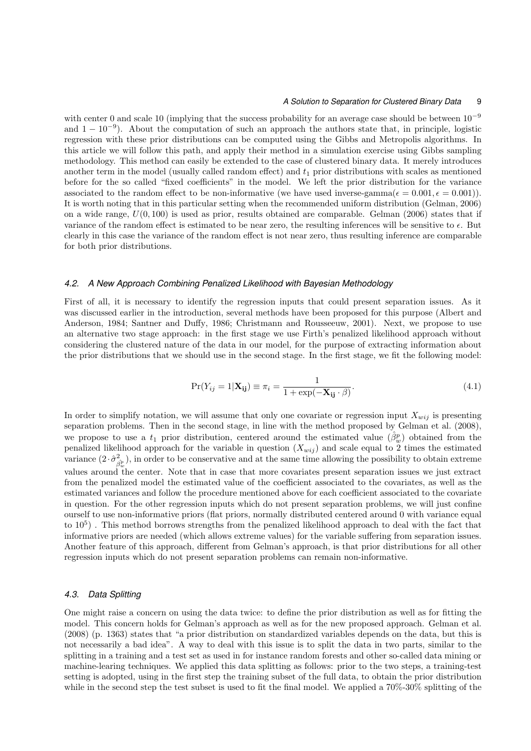with center 0 and scale 10 (implying that the success probability for an average case should be between 10*−*<sup>9</sup> and 1 *−* 10*−*<sup>9</sup> ). About the computation of such an approach the authors state that, in principle, logistic regression with these prior distributions can be computed using the Gibbs and Metropolis algorithms. In this article we will follow this path, and apply their method in a simulation exercise using Gibbs sampling methodology. This method can easily be extended to the case of clustered binary data. It merely introduces another term in the model (usually called random effect) and *t*<sup>1</sup> prior distributions with scales as mentioned before for the so called "fixed coefficients" in the model. We left the prior distribution for the variance associated to the random effect to be non-informative (we have used inverse-gamma( $\epsilon = 0.001, \epsilon = 0.001$ )). It is worth noting that in this particular setting when the recommended uniform distribution (Gelman, 2006) on a wide range, *U*(0*,* 100) is used as prior, results obtained are comparable. Gelman (2006) states that if variance of the random effect is estimated to be near zero, the resulting inferences will be sensitive to *ϵ*. But clearly in this case the variance of the random effect is not near zero, thus resulting inference are comparable for both prior distributions.

#### *4.2. A New Approach Combining Penalized Likelihood with Bayesian Methodology*

First of all, it is necessary to identify the regression inputs that could present separation issues. As it was discussed earlier in the introduction, several methods have been proposed for this purpose (Albert and Anderson, 1984; Santner and Duffy, 1986; Christmann and Rousseeuw, 2001). Next, we propose to use an alternative two stage approach: in the first stage we use Firth's penalized likelihood approach without considering the clustered nature of the data in our model, for the purpose of extracting information about the prior distributions that we should use in the second stage. In the first stage, we fit the following model:

$$
Pr(Y_{ij} = 1 | \mathbf{X}_{ij}) \equiv \pi_i = \frac{1}{1 + \exp(-\mathbf{X}_{ij} \cdot \beta)}.
$$
\n(4.1)

In order to simplify notation, we will assume that only one covariate or regression input  $X_{wij}$  is presenting separation problems. Then in the second stage, in line with the method proposed by Gelman et al. (2008), we propose to use a  $t_1$  prior distribution, centered around the estimated value  $(\hat{\beta}^p_w)$  obtained from the penalized likelihood approach for the variable in question  $(X_{wij})$  and scale equal to 2 times the estimated variance  $(2 \cdot \hat{\sigma}^2_{\hat{\beta}^p_w})$ , in order to be conservative and at the same time allowing the possibility to obtain extreme values around the center. Note that in case that more covariates present separation issues we just extract from the penalized model the estimated value of the coefficient associated to the covariates, as well as the estimated variances and follow the procedure mentioned above for each coefficient associated to the covariate in question. For the other regression inputs which do not present separation problems, we will just confine ourself to use non-informative priors (flat priors, normally distributed centered around 0 with variance equal to  $10^5$ ). This method borrows strengths from the penalized likelihood approach to deal with the fact that informative priors are needed (which allows extreme values) for the variable suffering from separation issues. Another feature of this approach, different from Gelman's approach, is that prior distributions for all other regression inputs which do not present separation problems can remain non-informative.

#### *4.3. Data Splitting*

One might raise a concern on using the data twice: to define the prior distribution as well as for fitting the model. This concern holds for Gelman's approach as well as for the new proposed approach. Gelman et al. (2008) (p. 1363) states that "a prior distribution on standardized variables depends on the data, but this is not necessarily a bad idea". A way to deal with this issue is to split the data in two parts, similar to the splitting in a training and a test set as used in for instance random forests and other so-called data mining or machine-learing techniques. We applied this data splitting as follows: prior to the two steps, a training-test setting is adopted, using in the first step the training subset of the full data, to obtain the prior distribution while in the second step the test subset is used to fit the final model. We applied a  $70\%$ -30% splitting of the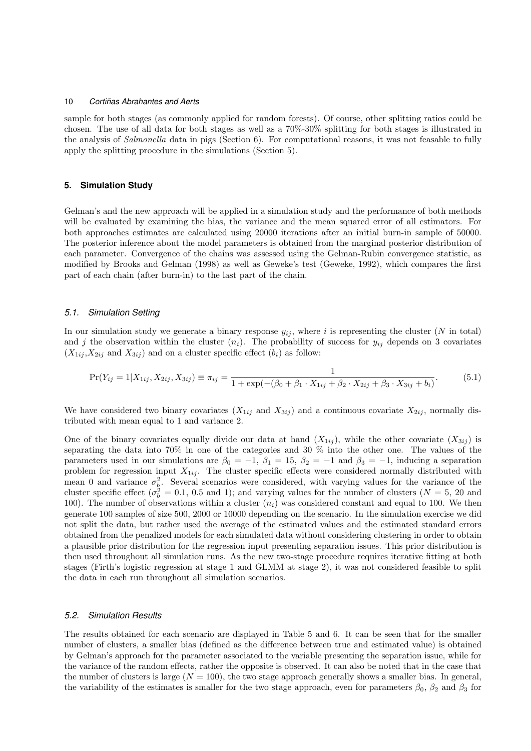sample for both stages (as commonly applied for random forests). Of course, other splitting ratios could be chosen. The use of all data for both stages as well as a 70%-30% splitting for both stages is illustrated in the analysis of *Salmonella* data in pigs (Section 6). For computational reasons, it was not feasable to fully apply the splitting procedure in the simulations (Section 5).

#### **5. Simulation Study**

Gelman's and the new approach will be applied in a simulation study and the performance of both methods will be evaluated by examining the bias, the variance and the mean squared error of all estimators. For both approaches estimates are calculated using 20000 iterations after an initial burn-in sample of 50000. The posterior inference about the model parameters is obtained from the marginal posterior distribution of each parameter. Convergence of the chains was assessed using the Gelman-Rubin convergence statistic, as modified by Brooks and Gelman (1998) as well as Geweke's test (Geweke, 1992), which compares the first part of each chain (after burn-in) to the last part of the chain.

## *5.1. Simulation Setting*

In our simulation study we generate a binary response  $y_{ij}$ , where *i* is representing the cluster (*N* in total) and *j* the observation within the cluster  $(n_i)$ . The probability of success for  $y_{ij}$  depends on 3 covariates  $(X_{1ij}, X_{2ij} \text{ and } X_{3ij})$  and on a cluster specific effect  $(b_i)$  as follow:

$$
\Pr(Y_{ij} = 1 | X_{1ij}, X_{2ij}, X_{3ij}) \equiv \pi_{ij} = \frac{1}{1 + \exp(-( \beta_0 + \beta_1 \cdot X_{1ij} + \beta_2 \cdot X_{2ij} + \beta_3 \cdot X_{3ij} + b_i)}.
$$
(5.1)

We have considered two binary covariates  $(X_{1ij}$  and  $X_{3ij}$ ) and a continuous covariate  $X_{2ij}$ , normally distributed with mean equal to 1 and variance 2.

One of the binary covariates equally divide our data at hand  $(X_{1ij})$ , while the other covariate  $(X_{3ij})$  is separating the data into 70% in one of the categories and 30 % into the other one. The values of the parameters used in our simulations are  $\beta_0 = -1$ ,  $\beta_1 = 15$ ,  $\beta_2 = -1$  and  $\beta_3 = -1$ , inducing a separation problem for regression input  $X_{1ij}$ . The cluster specific effects were considered normally distributed with mean 0 and variance  $\sigma_{\underline{b}}^2$ . Several scenarios were considered, with varying values for the variance of the cluster specific effect ( $\sigma_b^2 = 0.1$ , 0.5 and 1); and varying values for the number of clusters ( $N = 5$ , 20 and 100). The number of observations within a cluster (*ni*) was considered constant and equal to 100. We then generate 100 samples of size 500, 2000 or 10000 depending on the scenario. In the simulation exercise we did not split the data, but rather used the average of the estimated values and the estimated standard errors obtained from the penalized models for each simulated data without considering clustering in order to obtain a plausible prior distribution for the regression input presenting separation issues. This prior distribution is then used throughout all simulation runs. As the new two-stage procedure requires iterative fitting at both stages (Firth's logistic regression at stage 1 and GLMM at stage 2), it was not considered feasible to split the data in each run throughout all simulation scenarios.

#### *5.2. Simulation Results*

The results obtained for each scenario are displayed in Table 5 and 6. It can be seen that for the smaller number of clusters, a smaller bias (defined as the difference between true and estimated value) is obtained by Gelman's approach for the parameter associated to the variable presenting the separation issue, while for the variance of the random effects, rather the opposite is observed. It can also be noted that in the case that the number of clusters is large  $(N = 100)$ , the two stage approach generally shows a smaller bias. In general, the variability of the estimates is smaller for the two stage approach, even for parameters  $\beta_0$ ,  $\beta_2$  and  $\beta_3$  for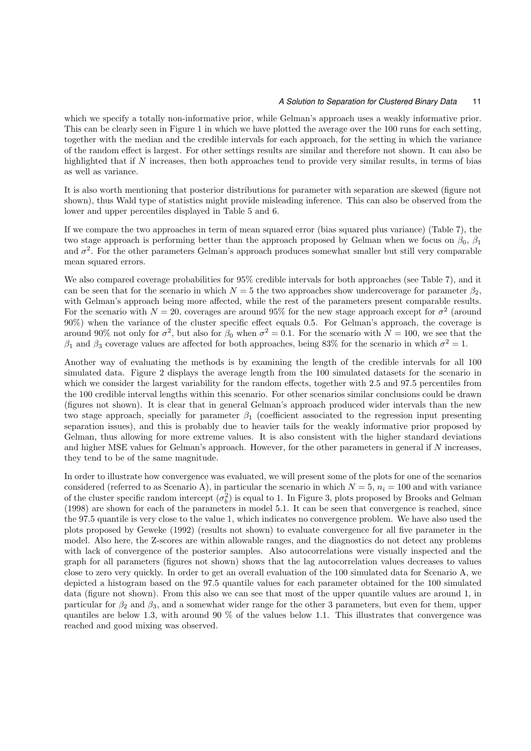which we specify a totally non-informative prior, while Gelman's approach uses a weakly informative prior. This can be clearly seen in Figure 1 in which we have plotted the average over the 100 runs for each setting, together with the median and the credible intervals for each approach, for the setting in which the variance of the random effect is largest. For other settings results are similar and therefore not shown. It can also be highlighted that if *N* increases, then both approaches tend to provide very similar results, in terms of bias as well as variance.

It is also worth mentioning that posterior distributions for parameter with separation are skewed (figure not shown), thus Wald type of statistics might provide misleading inference. This can also be observed from the lower and upper percentiles displayed in Table 5 and 6.

If we compare the two approaches in term of mean squared error (bias squared plus variance) (Table 7), the two stage approach is performing better than the approach proposed by Gelman when we focus on  $\beta_0$ ,  $\beta_1$ and  $\sigma^2$ . For the other parameters Gelman's approach produces somewhat smaller but still very comparable mean squared errors.

We also compared coverage probabilities for  $95\%$  credible intervals for both approaches (see Table 7), and it can be seen that for the scenario in which  $N = 5$  the two approaches show undercoverage for parameter  $\beta_2$ , with Gelman's approach being more affected, while the rest of the parameters present comparable results. For the scenario with  $N = 20$ , coverages are around 95% for the new stage approach except for  $\sigma^2$  (around 90%) when the variance of the cluster specific effect equals 0*.*5. For Gelman's approach, the coverage is around 90% not only for  $\sigma^2$ , but also for  $\beta_0$  when  $\sigma^2 = 0.1$ . For the scenario with  $N = 100$ , we see that the  $β_1$  and  $β_3$  coverage values are affected for both approaches, being 83% for the scenario in which  $σ^2 = 1$ .

Another way of evaluating the methods is by examining the length of the credible intervals for all 100 simulated data. Figure 2 displays the average length from the 100 simulated datasets for the scenario in which we consider the largest variability for the random effects, together with 2.5 and 97.5 percentiles from the 100 credible interval lengths within this scenario. For other scenarios similar conclusions could be drawn (figures not shown). It is clear that in general Gelman's approach produced wider intervals than the new two stage approach, specially for parameter *β*<sup>1</sup> (coefficient associated to the regression input presenting separation issues), and this is probably due to heavier tails for the weakly informative prior proposed by Gelman, thus allowing for more extreme values. It is also consistent with the higher standard deviations and higher MSE values for Gelman's approach. However, for the other parameters in general if *N* increases, they tend to be of the same magnitude.

In order to illustrate how convergence was evaluated, we will present some of the plots for one of the scenarios considered (referred to as Scenario A), in particular the scenario in which  $N = 5$ ,  $n<sub>i</sub> = 100$  and with variance of the cluster specific random intercept  $(\sigma_b^2)$  is equal to 1. In Figure 3, plots proposed by Brooks and Gelman (1998) are shown for each of the parameters in model 5.1. It can be seen that convergence is reached, since the 97*.*5 quantile is very close to the value 1, which indicates no convergence problem. We have also used the plots proposed by Geweke (1992) (results not shown) to evaluate convergence for all five parameter in the model. Also here, the Z-scores are within allowable ranges, and the diagnostics do not detect any problems with lack of convergence of the posterior samples. Also autocorrelations were visually inspected and the graph for all parameters (figures not shown) shows that the lag autocorrelation values decreases to values close to zero very quickly. In order to get an overall evaluation of the 100 simulated data for Scenario A, we depicted a histogram based on the 97*.*5 quantile values for each parameter obtained for the 100 simulated data (figure not shown). From this also we can see that most of the upper quantile values are around 1, in particular for  $\beta_2$  and  $\beta_3$ , and a somewhat wider range for the other 3 parameters, but even for them, upper quantiles are below 1*.*3, with around 90 % of the values below 1*.*1. This illustrates that convergence was reached and good mixing was observed.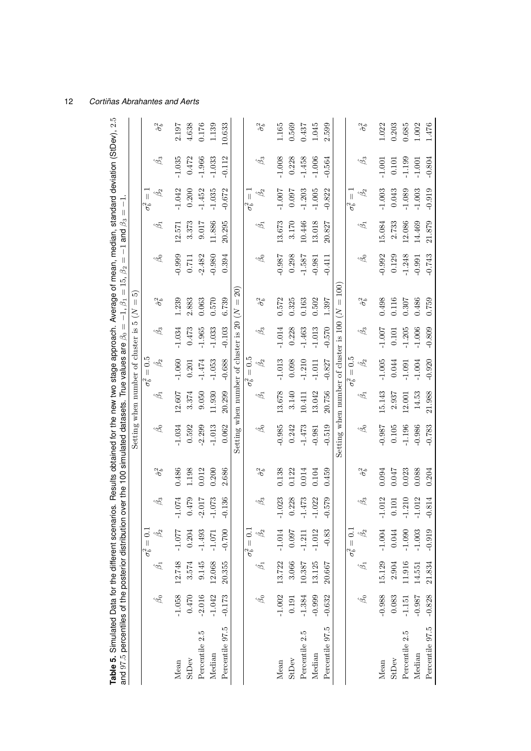| Table 5. Simulated Data for the different scenarios. Results obtained for the new two stage approach. Average of mean, median, standard deviation (StDev), 2.5<br>and 97.5 percentiles of the posterior distribution |               |                 |                         |                       |                    | over the 100 simulated datasets. True values are $\beta_0 =$ |                      |                                                 |                 | $-1,\,\beta_1=15,\,\beta_2$                     | $\parallel$         | $-1$ and $\beta_3 =$ | $\overline{1}$                          |                 |                    |
|----------------------------------------------------------------------------------------------------------------------------------------------------------------------------------------------------------------------|---------------|-----------------|-------------------------|-----------------------|--------------------|--------------------------------------------------------------|----------------------|-------------------------------------------------|-----------------|-------------------------------------------------|---------------------|----------------------|-----------------------------------------|-----------------|--------------------|
|                                                                                                                                                                                                                      |               |                 |                         |                       |                    |                                                              |                      | Setting when number of cluster is               |                 | ນລັ<br>$\vert\vert$<br>$\frac{2}{5}$            |                     |                      |                                         |                 |                    |
|                                                                                                                                                                                                                      |               |                 | $= 0.1$<br>$\sigma_b^2$ |                       |                    |                                                              |                      | 0.5<br>$\overline{\mathcal{H}}$<br>$\sigma_b^2$ |                 |                                                 |                     |                      | $\overline{\mathbf{I}}$<br>$\sigma_b^2$ |                 |                    |
|                                                                                                                                                                                                                      | Â             | $\hat{\beta}_1$ | $\beta_2$               | $\hat{\beta_3}$       | $\hat{\sigma}^2_b$ | $\hat{\beta}$                                                | $\hat{\mathfrak{G}}$ | Â,                                              | $\hat{\beta_3}$ | $\hat{\sigma}^2_b$                              | $\hat{\mathscr{B}}$ | $\hat{\beta}$        | $\hat{\beta_2}$                         | $\hat{\beta_3}$ | $\hat{\sigma}^2_b$ |
| Mean                                                                                                                                                                                                                 | $-1.058$      | 12.748          | $-1.077$                | 1.074<br>ť            | 0.486              | $-1.034$                                                     | 12.607               | $-1.060$                                        | $-1.034$        | 1.239                                           | $-0.999$            | 2.571                | $-1.042$                                | $-1.035$        | 2.197              |
| StDev                                                                                                                                                                                                                | 0.470         | 3.574           | 0.204                   | 0.479                 | 1.198              | 0.592                                                        | 3.374                | 0.201                                           | 0.473           | 2.883                                           | 0.711               | 3.373                | 0.200                                   | 0.472           | 4.638              |
| Percentile 2.5                                                                                                                                                                                                       | $-2.016$      | 9.145           | $-1.493$                | $-2.017$              | 0.012              | $-2.299$                                                     | 9.050                | $-1.474$                                        | $-1.965$        | 0.063                                           | $-2.482$            | 9.017                | $-1.452$                                | $-1.966$        | 0.176              |
| Median                                                                                                                                                                                                               | $-1.042$      | 12.068          | $-1.071$                | $-1.073$              | 0.200              | $-1.013$                                                     | 11.930               | $-1.053$                                        | $-1.033$        | 0.570                                           | $-0.980$            | 11.886               | $-1.035$                                | $-1.033$        | 1.139              |
| Percentile 97.5                                                                                                                                                                                                      | $-0.173$      | 20.355          | $-0.700$                | $-0.136$              | 2.686              | 0.062                                                        | 20.299               | $-0.688$                                        | $-0.103$        | 6.739                                           | 0.394               | 20.295               | $-0.672$                                | $-0.112$        | 10.633             |
|                                                                                                                                                                                                                      |               |                 |                         |                       |                    | Setting when number of cluster is 20                         |                      |                                                 |                 | $\widehat{20}$<br>$\lvert \rvert$<br>$\lesssim$ |                     |                      |                                         |                 |                    |
|                                                                                                                                                                                                                      |               |                 | $\sigma_b^2=0.1$        |                       |                    |                                                              |                      | $= 0.5$<br>$\sigma_b^2$                         |                 |                                                 |                     |                      | $\overline{\mathbb{I}}$<br>$\sigma_b^2$ |                 |                    |
|                                                                                                                                                                                                                      | $\hat{\beta}$ | $\hat{\beta_1}$ | $\beta_2$               | $\hat{\beta_3}$       | $\hat{\sigma}^2_b$ | $\hat{\beta}$                                                | $\hat{\beta}$        | $\hat{\beta_2}$                                 | Â               | $\hat{\sigma}^2_b$                              | $\hat{\beta_0}$     | $\hat{\beta}$        | $\hat{\beta_2}$                         | $\hat{\beta_3}$ | $\hat{\sigma}^2_b$ |
| Mean                                                                                                                                                                                                                 | $-1.002$      | 13.722          | $-1.014$                | $-1.023$              | 0.138              | $-0.985$                                                     | 13.678               | $-1.013$                                        | $-1.014$        | 0.572                                           | $-0.987$            | 13.673               | $-1.007$                                | $-1.008$        | 1.165              |
| StDev                                                                                                                                                                                                                | 0.191         | 3.066           | 760.0                   | 0.228                 | 0.122              | 0.242                                                        | 3.140                | 0.098                                           | 0.228           | 0.325                                           | 0.298               | 3.170                | <b>L60:0</b>                            | 0.228           | 0.569              |
| Percentile 2.5                                                                                                                                                                                                       | $-1.384$      | 10.387          | $-1.211$                | .473                  | 0.014              | $-1.473$                                                     | 10.411               | $-1.210$                                        | $-1.463$        | 0.163                                           | $-1.587$            | 10.446               | $-1.203$                                | $-1.458$        | 0.437              |
| Median                                                                                                                                                                                                               | $-0.999$      | 13.125          | $-1.012$                | 1.022                 | 0.104              | $-0.981$                                                     | 13.042               | $-1.011$                                        | $-1.013$        | 0.502                                           | $-0.981$            | 13.018               | $-1.005$                                | $-1.006$        | 1.045              |
| Percentile 97.5                                                                                                                                                                                                      | $-0.632$      | 20.667          | $-0.83$                 | $-0.579$              | 0.459              | $-0.519$                                                     | 20.756               | $-0.827$                                        | $-0.570$        | 1.397                                           | $-0.411$            | 20.827               | $-0.822$                                | $-0.564$        | 2.599              |
|                                                                                                                                                                                                                      |               |                 |                         |                       |                    | Setting when number of cluster is 100                        |                      |                                                 |                 | 100)<br>$\mid \mid$<br>$\lesssim$               |                     |                      |                                         |                 |                    |
|                                                                                                                                                                                                                      |               |                 | $\sigma_b^2=0.1$        |                       |                    |                                                              |                      | $= 0.5$<br>$\sigma_b^2$                         |                 |                                                 |                     |                      | $\left  {}\right $<br>$\sigma_b^2$      |                 |                    |
|                                                                                                                                                                                                                      | Â             | $\hat{\beta}_1$ | $\hat{\beta_2}$         | $\hat{\beta_3}$       | $\hat{\sigma}^2_b$ | $\hat{\beta_0}$                                              | $\hat{\mathfrak{G}}$ | $\hat{\beta_2}$                                 | Â               | $\hat{\sigma}^2_b$                              | $\hat{\beta_0}$     | Â                    | $\hat{\beta_2}$                         | Â3              | $\hat{\sigma}^2_b$ |
| Mean                                                                                                                                                                                                                 | $-0.988$      | 15.129          | $-1.004$                | 1.012<br>$\mathbf{I}$ | 0.094              | $-0.987$                                                     | 5.143                | $-1.005$                                        | $-1.007$        | 0.498                                           | $-0.992$            | 5.084                | $-1.003$                                | $-1.001$        | 1.022              |
| StDev                                                                                                                                                                                                                | 0.083         | 2.904           | 0.044                   | 0.101                 | 0.047              | 0.105                                                        | 2.937                | 0.044                                           | 0.101           | 0.116                                           | 0.129               | 2.733                | 0.043                                   | 0.101           | 0.203              |
| Percentile 2.5                                                                                                                                                                                                       | $-1.151$      | 11.916          | $-1.090$                | <b>210</b>            | 0.023              | $-1.196$                                                     | 12.001               | $-1.091$                                        | $-1.205$        | 0.307                                           | $-1.248$            | 12.086               | $-1.089$                                | $-1.199$        | 0.685              |
| Median                                                                                                                                                                                                               | $-0.98$ ?     | 14.551          | $-1.003$                | 1.012                 | 0.088              | 0.986                                                        | 14.53                | $-1.004$                                        | $-1.006$        | 0.486                                           | $-0.991$            | 14.469               | $-1.003$                                | $-1.001$        | 1.002              |
| Percentile 97.5                                                                                                                                                                                                      | $-0.828$      | 21.834          | $-0.919$                | $-0.814$              | 0.204              | $-0.783$                                                     | 21.988               | $-0.920$                                        | $-0.809$        | 0.759                                           | $-0.743$            | 21.879               | $-0.919$                                | $-0.804$        | $1.476\,$          |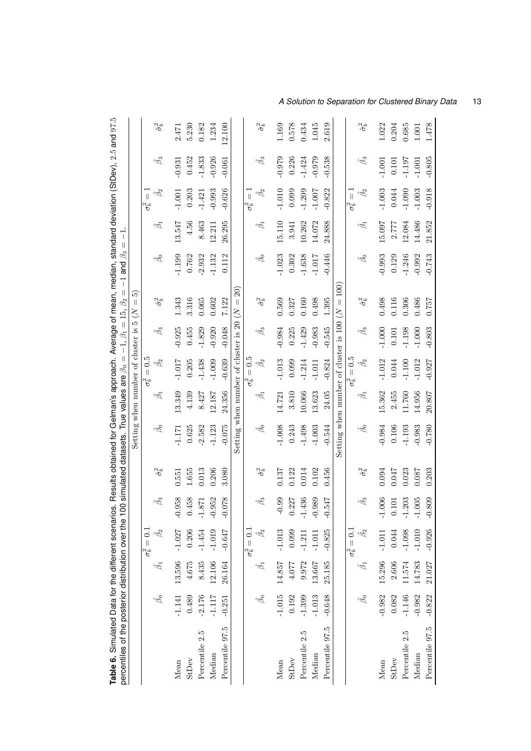| Table 6. Simulated Data for the different scenarios. Results obtained for Gelman's approach. Average of mean, median, standard deviation (StDev), 2.5 and 97.5<br>percentiles of the posterior distribution over the 1 |                 |                 |                                |                 |                    | 00 simulated datasets. True values are $\beta_0 =$    |                                        |                              | $-1, \beta_1 = 15, \beta_2$ | $\mid \mid$                                  | $\beta_3$<br>$-1$ and | T<br>$\begin{array}{c} \hline \end{array}$ |                                    |                 |                    |
|------------------------------------------------------------------------------------------------------------------------------------------------------------------------------------------------------------------------|-----------------|-----------------|--------------------------------|-----------------|--------------------|-------------------------------------------------------|----------------------------------------|------------------------------|-----------------------------|----------------------------------------------|-----------------------|--------------------------------------------|------------------------------------|-----------------|--------------------|
|                                                                                                                                                                                                                        |                 |                 |                                |                 |                    |                                                       | Setting when number of cluster is 5 (N |                              |                             | ່ມລ<br>$\vert\vert$                          |                       |                                            |                                    |                 |                    |
|                                                                                                                                                                                                                        |                 |                 | $\overline{C}$<br>$\sigma_b^2$ |                 |                    |                                                       |                                        | $\ddot{0}$<br>$\sigma_b^2 =$ |                             |                                              |                       |                                            | $\left  {}\right $<br>$\sigma_b^2$ |                 |                    |
|                                                                                                                                                                                                                        | $\hat{\beta}_0$ | $\hat{\beta_1}$ | $\hat{\beta}_2$                | $\hat{\beta_3}$ | $\hat{\sigma}^2_b$ | $\hat{\beta_0}$                                       | $\hat{\beta_1}$                        | $\hat{\beta}_2$              | $\hat{\beta_3}$             | $\hat{\sigma}^2_b$                           | $\hat{\beta_0}$       | $\hat{\beta_1}$                            | $\hat{\beta_2}$                    | $\hat{\beta_3}$ | $\hat{\sigma}^2_b$ |
| Mean                                                                                                                                                                                                                   | $-1.141$        | 13.596          | $-1.027$                       | .958<br>F       | 0.551              | $-1.171$                                              | 13.349                                 | $-1.017$                     | 0.925                       | 1.343                                        | $-1.199$              | 13.547                                     | $-1.001$                           | $-0.931$        | 2.471              |
| StDev                                                                                                                                                                                                                  | 0.489           | 4.675           | 0.206                          | 0.458           | 1.655              | 0.625                                                 | 4.139                                  | 0.205                        | 0.455                       | 3.316                                        | 0.762                 | 4.56                                       | 0.203                              | 0.452           | 5.230              |
| Percentile 2.5                                                                                                                                                                                                         | $-2.176$        | 8.435           | $-1.454$                       | .871<br>루       | 0.013              | $-2.582$                                              | 8.427                                  | $-1.438$                     | $-1.829$                    | 0.065                                        | $-2.932$              | 8.463                                      | $-1.421$                           | $-1.833$        | 0.182              |
| Median                                                                                                                                                                                                                 | $-1.117$        | 12.106          | $-1.019$                       | .952<br>Y       | 0.206              | $-1.123$                                              | 12.187                                 | $-1.009$                     | $-0.920$                    | 0.602                                        | $-1.132$              | 12.211                                     | $-0.993$                           | $-0.926$        | 1.234              |
| Percentile 97.5                                                                                                                                                                                                        | $-0.251$        | 26.164          | $-0.647$                       | .078<br>ု       | 3.080              | $-0.075$                                              | 24.356                                 | $-0.639$                     | $-0.048$                    | 7.122                                        | 0.112                 | 26.295                                     | $-0.626$                           | $-0.061$        | 12.100             |
|                                                                                                                                                                                                                        |                 |                 |                                |                 |                    | Setting when number of cluster is 20                  |                                        |                              |                             | $\widehat{2}0)$<br>$\parallel$<br>$\lesssim$ |                       |                                            |                                    |                 |                    |
|                                                                                                                                                                                                                        |                 |                 | $\sigma_b^2=0.1$               |                 |                    |                                                       |                                        | $\sigma_b^2 = 0.5$           |                             |                                              |                       |                                            | $\frac{1}{\pi}$<br>$\sigma_b^2$    |                 |                    |
|                                                                                                                                                                                                                        | $\hat{\beta}$   | $\hat{\beta_1}$ | $\hat{\beta}_2$                | Â3              | $\hat{\sigma}^2_b$ | $\hat{\beta}$                                         | $\hat{\beta_1}$                        | $\hat{\beta_2}$              | Â                           | $\hat{\sigma}^2_b$                           | $\hat{\beta}$         | $\hat{\beta_1}$                            | $\hat{\beta_2}$                    | $\hat{\beta_3}$ | $\hat{\sigma}^2_b$ |
| Mean                                                                                                                                                                                                                   | $-1.015$        | 14.857          | $-1.013$                       | $-0.99$         | 0.137              | $-1.008$                                              | 14.721                                 | $-1.013$                     | $-0.984$                    | 0.569                                        | $-1.023$              | 15.110                                     | $-1.010$                           | $-0.979$        | 1.169              |
| StDev                                                                                                                                                                                                                  | 0.192           | 4.077           | 0.099                          | 0.227           | 0.122              | 0.243                                                 | 3.810                                  | 0.099                        | 0.225                       | 0.327                                        | 0.302                 | 3.941                                      | 0.099                              | 0.226           | 0.578              |
| Percentile 2.5                                                                                                                                                                                                         | $-1.399$        | 9.972           | $-1.211$                       | 436             | 0.014              | $-1.498$                                              | 10.066                                 | $-1.214$                     | $-1.429$                    | 0.160                                        | $-1.638$              | 10.262                                     | $-1.209$                           | $-1.424$        | 0.434              |
| Median                                                                                                                                                                                                                 | $-1.013$        | 13.667          | $-1.011$                       | $-0.989$        | 0.102              | $-1.003$                                              | 13.623                                 | $-1.011$                     | $-0.983$                    | 0.498                                        | $-1.017$              | 14.072                                     | $-1.007$                           | $-0.979$        | 1.045              |
| Percentile 97.5                                                                                                                                                                                                        | $-0.648$        | 25.185          | $-0.825$                       | 547<br>P        | 0.456              | $-0.544$                                              | 24.05                                  | $-0.824$                     | $-0.545$                    | 1.395                                        | $-0.446$              | 24.888                                     | $-0.822$                           | $-0.538$        | 2.619              |
|                                                                                                                                                                                                                        |                 |                 |                                |                 |                    | Setting when number of cluster is $100$ ( $N = 100$ ) |                                        |                              |                             |                                              |                       |                                            |                                    |                 |                    |
|                                                                                                                                                                                                                        |                 |                 | $\sigma_b^2=0.1$               |                 |                    |                                                       |                                        | $\sigma_b^2=0.5$             |                             |                                              |                       |                                            | $\parallel$<br>$\sigma_b^2$        |                 |                    |
|                                                                                                                                                                                                                        | $\hat{\beta}$   | $\hat{\beta_1}$ | $\hat{\beta}_2$                | $\hat{\beta_3}$ | $\hat{\sigma}^2_b$ | $\hat{\beta}$                                         | $\hat{\beta_1}$                        | $\hat{\beta}_2$              | $\hat{\beta_3}$             | $\hat{\sigma}^2_b$                           | $\hat{\beta}$         | $\hat{\beta}$                              | $\hat{\beta_2}$                    | $\hat{\beta_3}$ | $\hat{\sigma}^2_b$ |
| Mean                                                                                                                                                                                                                   | $-0.982$        | 15.296          | $-1.011$                       | $-1.006$        | 0.094              | $-0.984$                                              | 15.362                                 | $-1.012$                     | $-1.000$                    | 0.498                                        | $-0.993$              | 15.097                                     | $-1.003$                           | $-1.001$        | 1.022              |
| StDev                                                                                                                                                                                                                  | 0.082           | 2.606           | 0.044                          | 0.101           | 0.047              | 0.106                                                 | 2.455                                  | 0.044                        | 0.101                       | 0.116                                        | 0.129                 | 2.777                                      | 0.044                              | 0.101           | 0.204              |
| Percentile 2.5                                                                                                                                                                                                         | $-1.146$        | 11.574          | $-1.098$                       | 203<br>7        | 0.023              | $-1.193$                                              | 11.760                                 | $-1.100$                     | $-1.198$                    | 0.306                                        | $-1.246$              | 12.084                                     | $-1.090$                           | $-1.197$        | 0.685              |
| Median                                                                                                                                                                                                                 | $-0.982$        | 14.783          | $-1.010$                       | 1.005<br>7      | 0.087              | $-0.983$                                              | 14.956                                 | $-1.012$                     | $-1.000$                    | 0.486                                        | $-0.992$              | 14.486                                     | $-1.003$                           | $-1.001$        | 1.001              |
| Percentile 97.5                                                                                                                                                                                                        | $-0.822$        | 21.027          | $-0.926$                       | 0.809<br>F      | 0.203              | $-0.780$                                              | 20.807                                 | $-0.927$                     | $-0.803$                    | $7\frac{5}{7}7.0$                            | $-0.743$              | 21.852                                     | $-0.918$                           | $-0.805$        | 1.478              |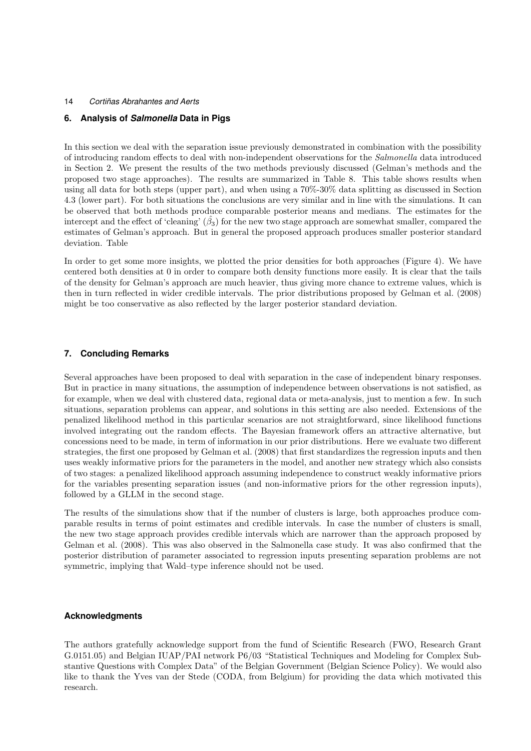# **6. Analysis of** *Salmonella* **Data in Pigs**

In this section we deal with the separation issue previously demonstrated in combination with the possibility of introducing random effects to deal with non-independent observations for the *Salmonella* data introduced in Section 2. We present the results of the two methods previously discussed (Gelman's methods and the proposed two stage approaches). The results are summarized in Table 8. This table shows results when using all data for both steps (upper part), and when using a 70%-30% data splitting as discussed in Section 4.3 (lower part). For both situations the conclusions are very similar and in line with the simulations. It can be observed that both methods produce comparable posterior means and medians. The estimates for the intercept and the effect of 'cleaning'  $(\hat{\beta}_3)$  for the new two stage approach are somewhat smaller, compared the estimates of Gelman's approach. But in general the proposed approach produces smaller posterior standard deviation. Table

In order to get some more insights, we plotted the prior densities for both approaches (Figure 4). We have centered both densities at 0 in order to compare both density functions more easily. It is clear that the tails of the density for Gelman's approach are much heavier, thus giving more chance to extreme values, which is then in turn reflected in wider credible intervals. The prior distributions proposed by Gelman et al. (2008) might be too conservative as also reflected by the larger posterior standard deviation.

## **7. Concluding Remarks**

Several approaches have been proposed to deal with separation in the case of independent binary responses. But in practice in many situations, the assumption of independence between observations is not satisfied, as for example, when we deal with clustered data, regional data or meta-analysis, just to mention a few. In such situations, separation problems can appear, and solutions in this setting are also needed. Extensions of the penalized likelihood method in this particular scenarios are not straightforward, since likelihood functions involved integrating out the random effects. The Bayesian framework offers an attractive alternative, but concessions need to be made, in term of information in our prior distributions. Here we evaluate two different strategies, the first one proposed by Gelman et al. (2008) that first standardizes the regression inputs and then uses weakly informative priors for the parameters in the model, and another new strategy which also consists of two stages: a penalized likelihood approach assuming independence to construct weakly informative priors for the variables presenting separation issues (and non-informative priors for the other regression inputs), followed by a GLLM in the second stage.

The results of the simulations show that if the number of clusters is large, both approaches produce comparable results in terms of point estimates and credible intervals. In case the number of clusters is small, the new two stage approach provides credible intervals which are narrower than the approach proposed by Gelman et al. (2008). This was also observed in the Salmonella case study. It was also confirmed that the posterior distribution of parameter associated to regression inputs presenting separation problems are not symmetric, implying that Wald–type inference should not be used.

## **Acknowledgments**

The authors gratefully acknowledge support from the fund of Scientific Research (FWO, Research Grant G.0151.05) and Belgian IUAP/PAI network P6/03 "Statistical Techniques and Modeling for Complex Substantive Questions with Complex Data" of the Belgian Government (Belgian Science Policy). We would also like to thank the Yves van der Stede (CODA, from Belgium) for providing the data which motivated this research.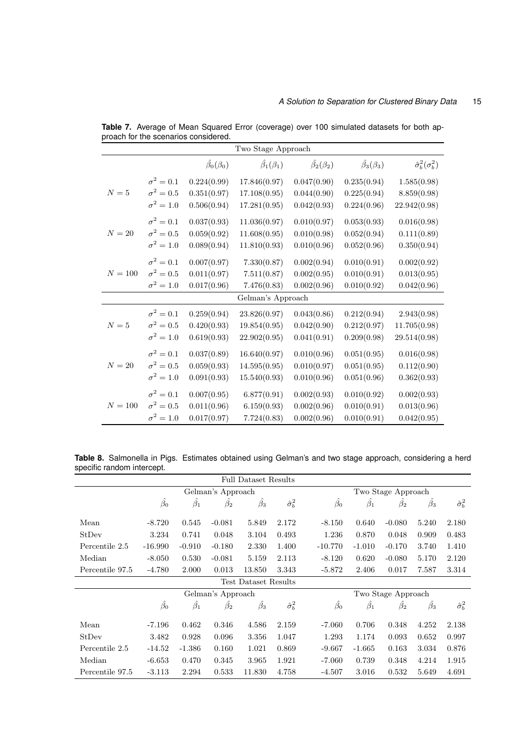|           |                  |                          | Two Stage Approach       |                          |                          |                                |
|-----------|------------------|--------------------------|--------------------------|--------------------------|--------------------------|--------------------------------|
|           |                  | $\hat{\beta_0}(\beta_0)$ | $\hat{\beta_1}(\beta_1)$ | $\hat{\beta_2}(\beta_2)$ | $\hat{\beta_3}(\beta_3)$ | $\hat{\sigma}_b^2(\sigma_b^2)$ |
|           | $\sigma^2=0.1$   | 0.224(0.99)              | 17.846(0.97)             | 0.047(0.90)              | 0.235(0.94)              | 1.585(0.98)                    |
| $N=5$     | $\sigma^2=0.5$   | 0.351(0.97)              | 17.108(0.95)             | 0.044(0.90)              | 0.225(0.94)              | 8.859(0.98)                    |
|           | $\sigma^2=1.0$   | 0.506(0.94)              | 17.281(0.95)             | 0.042(0.93)              | 0.224(0.96)              | 22.942(0.98)                   |
|           | $\sigma^2=0.1$   | 0.037(0.93)              | 11.036(0.97)             | 0.010(0.97)              | 0.053(0.93)              | 0.016(0.98)                    |
| $N=20$    | $\sigma^2=0.5$   | 0.059(0.92)              | 11.608(0.95)             | 0.010(0.98)              | 0.052(0.94)              | 0.111(0.89)                    |
|           | $\sigma^2=1.0$   | 0.089(0.94)              | 11.810(0.93)             | 0.010(0.96)              | 0.052(0.96)              | 0.350(0.94)                    |
|           | $\sigma^2=0.1$   | 0.007(0.97)              | 7.330(0.87)              | 0.002(0.94)              | 0.010(0.91)              | 0.002(0.92)                    |
| $N = 100$ | $\sigma^2=0.5$   | 0.011(0.97)              | 7.511(0.87)              | 0.002(0.95)              | 0.010(0.91)              | 0.013(0.95)                    |
|           | $\sigma^2 = 1.0$ | 0.017(0.96)              | 7.476(0.83)              | 0.002(0.96)              | 0.010(0.92)              | 0.042(0.96)                    |
|           |                  |                          | Gelman's Approach        |                          |                          |                                |
|           | $\sigma^2=0.1$   | 0.259(0.94)              | 23.826(0.97)             | 0.043(0.86)              | 0.212(0.94)              | 2.943(0.98)                    |
| $N=5$     | $\sigma^2=0.5$   | 0.420(0.93)              | 19.854(0.95)             | 0.042(0.90)              | 0.212(0.97)              | 11.705(0.98)                   |
|           | $\sigma^2=1.0$   | 0.619(0.93)              | 22.902(0.95)             | 0.041(0.91)              | 0.209(0.98)              | 29.514(0.98)                   |
|           | $\sigma^2=0.1$   | 0.037(0.89)              | 16.640(0.97)             | 0.010(0.96)              | 0.051(0.95)              | 0.016(0.98)                    |
| $N=20$    | $\sigma^2=0.5$   | 0.059(0.93)              | 14.595(0.95)             | 0.010(0.97)              | 0.051(0.95)              | 0.112(0.90)                    |
|           | $\sigma^2 = 1.0$ | 0.091(0.93)              | 15.540(0.93)             | 0.010(0.96)              | 0.051(0.96)              | 0.362(0.93)                    |
|           | $\sigma^2=0.1$   | 0.007(0.95)              | 6.877(0.91)              | 0.002(0.93)              | 0.010(0.92)              | 0.002(0.93)                    |
| $N = 100$ | $\sigma^2=0.5$   | 0.011(0.96)              | 6.159(0.93)              | 0.002(0.96)              | 0.010(0.91)              | 0.013(0.96)                    |
|           | $\sigma^2=1.0$   | 0.017(0.97)              | 7.724(0.83)              | 0.002(0.96)              | 0.010(0.91)              | 0.042(0.95)                    |

**Table 7.** Average of Mean Squared Error (coverage) over 100 simulated datasets for both approach for the scenarios considered.

**Table 8.** Salmonella in Pigs. Estimates obtained using Gelman's and two stage approach, considering a herd specific random intercept.

|                 |                 |                 |                   | <b>Full Dataset Results</b> |                        |                 |                 |                    |                 |                        |
|-----------------|-----------------|-----------------|-------------------|-----------------------------|------------------------|-----------------|-----------------|--------------------|-----------------|------------------------|
|                 |                 |                 | Gelman's Approach |                             |                        |                 |                 | Two Stage Approach |                 |                        |
|                 | $\hat{\beta_0}$ | $\hat{\beta_1}$ | $\beta_2$         | $\hat{\beta_3}$             | $\hat{\sigma}_b^2$     | $\hat{\beta_0}$ | $\hat{\beta_1}$ | $\hat{\beta_2}$    | $\hat{\beta_3}$ | $\hat{\sigma}_b^2$     |
| Mean            | $-8.720$        | 0.545           | $-0.081$          | 5.849                       | 2.172                  | $-8.150$        | 0.640           | $-0.080$           | 5.240           | 2.180                  |
| StDev           | 3.234           | 0.741           | 0.048             | 3.104                       | 0.493                  | 1.236           | 0.870           | 0.048              | 0.909           | 0.483                  |
| Percentile 2.5  | $-16.990$       | $-0.910$        | $-0.180$          | 2.330                       | 1.400                  | $-10.770$       | $-1.010$        | $-0.170$           | 3.740           | 1.410                  |
| Median          | $-8.050$        | 0.530           | $-0.081$          | 5.159                       | 2.113                  | $-8.120$        | 0.620           | $-0.080$           | 5.170           | 2.120                  |
| Percentile 97.5 | $-4.780$        | 2.000           | 0.013             | 13.850                      | 3.343                  | $-5.872$        | 2.406           | 0.017              | 7.587           | 3.314                  |
|                 |                 |                 |                   | Test Dataset Results        |                        |                 |                 |                    |                 |                        |
|                 |                 |                 | Gelman's Approach |                             |                        |                 |                 | Two Stage Approach |                 |                        |
|                 | $\hat{\beta_0}$ | $\beta_1$       | $\beta_2$         | $\beta_3$                   | $\hat{\sigma}_{b}^{2}$ | $\hat{\beta}_0$ | $\hat{\beta_1}$ | $\beta_2$          | $\beta_3$       | $\hat{\sigma}_{b}^{2}$ |
| Mean            | $-7.196$        | 0.462           | 0.346             | 4.586                       | 2.159                  | $-7.060$        | 0.706           | 0.348              | 4.252           | 2.138                  |
| StDev           | 3.482           | 0.928           | 0.096             | 3.356                       | 1.047                  | 1.293           | 1.174           | 0.093              | 0.652           | 0.997                  |
| Percentile 2.5  | $-14.52$        | $-1.386$        | 0.160             | 1.021                       | 0.869                  | $-9.667$        | $-1.665$        | 0.163              | 3.034           | 0.876                  |
| Median          | $-6.653$        | 0.470           | 0.345             | 3.965                       | 1.921                  | $-7.060$        | 0.739           | 0.348              | 4.214           | 1.915                  |
| Percentile 97.5 | $-3.113$        | 2.294           | 0.533             | 11.830                      | 4.758                  | $-4.507$        | 3.016           | 0.532              | 5.649           | 4.691                  |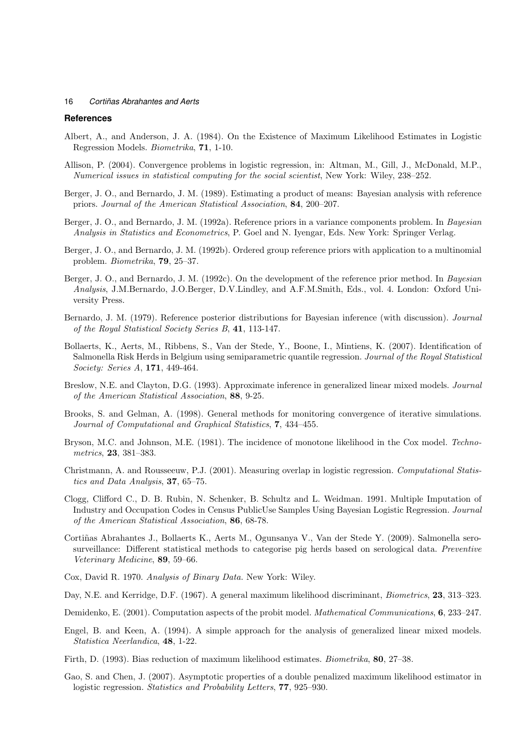## **References**

- Albert, A., and Anderson, J. A. (1984). On the Existence of Maximum Likelihood Estimates in Logistic Regression Models. *Biometrika*, **71**, 1-10.
- Allison, P. (2004). Convergence problems in logistic regression, in: Altman, M., Gill, J., McDonald, M.P., *Numerical issues in statistical computing for the social scientist*, New York: Wiley, 238–252.
- Berger, J. O., and Bernardo, J. M. (1989). Estimating a product of means: Bayesian analysis with reference priors. *Journal of the American Statistical Association*, **84**, 200–207.
- Berger, J. O., and Bernardo, J. M. (1992a). Reference priors in a variance components problem. In *Bayesian Analysis in Statistics and Econometrics*, P. Goel and N. Iyengar, Eds. New York: Springer Verlag.
- Berger, J. O., and Bernardo, J. M. (1992b). Ordered group reference priors with application to a multinomial problem. *Biometrika*, **79**, 25–37.
- Berger, J. O., and Bernardo, J. M. (1992c). On the development of the reference prior method. In *Bayesian Analysis*, J.M.Bernardo, J.O.Berger, D.V.Lindley, and A.F.M.Smith, Eds., vol. 4. London: Oxford University Press.
- Bernardo, J. M. (1979). Reference posterior distributions for Bayesian inference (with discussion). *Journal of the Royal Statistical Society Series B*, **41**, 113-147.
- Bollaerts, K., Aerts, M., Ribbens, S., Van der Stede, Y., Boone, I., Mintiens, K. (2007). Identification of Salmonella Risk Herds in Belgium using semiparametric quantile regression. *Journal of the Royal Statistical Society: Series A*, **171**, 449-464.
- Breslow, N.E. and Clayton, D.G. (1993). Approximate inference in generalized linear mixed models. *Journal of the American Statistical Association*, **88**, 9-25.
- Brooks, S. and Gelman, A. (1998). General methods for monitoring convergence of iterative simulations. *Journal of Computational and Graphical Statistics*, **7**, 434–455.
- Bryson, M.C. and Johnson, M.E. (1981). The incidence of monotone likelihood in the Cox model. *Technometrics*, **23**, 381–383.
- Christmann, A. and Rousseeuw, P.J. (2001). Measuring overlap in logistic regression. *Computational Statistics and Data Analysis*, **37**, 65–75.
- Clogg, Clifford C., D. B. Rubin, N. Schenker, B. Schultz and L. Weidman. 1991. Multiple Imputation of Industry and Occupation Codes in Census PublicUse Samples Using Bayesian Logistic Regression. *Journal of the American Statistical Association*, **86**, 68-78.
- Cortiñas Abrahantes J., Bollaerts K., Aerts M., Ogunsanya V., Van der Stede Y. (2009). Salmonella serosurveillance: Different statistical methods to categorise pig herds based on serological data. *Preventive Veterinary Medicine*, **89**, 59–66.
- Cox, David R. 1970. *Analysis of Binary Data.* New York: Wiley.
- Day, N.E. and Kerridge, D.F. (1967). A general maximum likelihood discriminant, *Biometrics*, **23**, 313–323.
- Demidenko, E. (2001). Computation aspects of the probit model. *Mathematical Communications*, **6**, 233–247.
- Engel, B. and Keen, A. (1994). A simple approach for the analysis of generalized linear mixed models. *Statistica Neerlandica*, **48**, 1-22.
- Firth, D. (1993). Bias reduction of maximum likelihood estimates. *Biometrika*, **80**, 27–38.
- Gao, S. and Chen, J. (2007). Asymptotic properties of a double penalized maximum likelihood estimator in logistic regression. *Statistics and Probability Letters*, **77**, 925–930.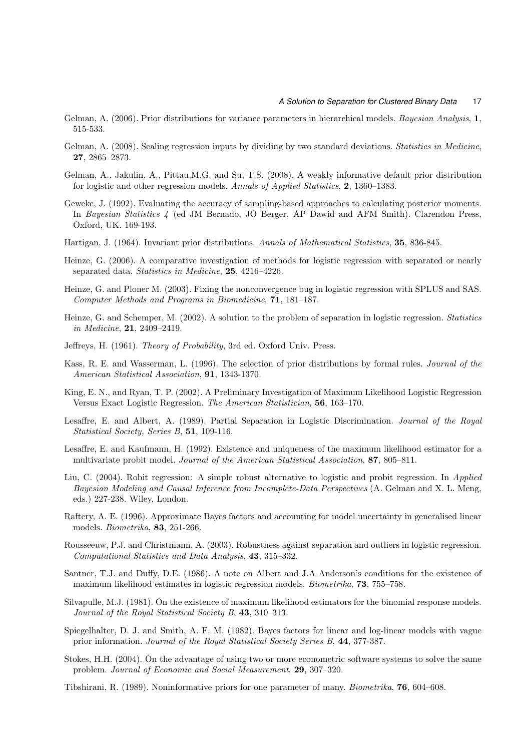- Gelman, A. (2006). Prior distributions for variance parameters in hierarchical models. *Bayesian Analysis*, **1**, 515-533.
- Gelman, A. (2008). Scaling regression inputs by dividing by two standard deviations. *Statistics in Medicine*, **27**, 2865–2873.
- Gelman, A., Jakulin, A., Pittau,M.G. and Su, T.S. (2008). A weakly informative default prior distribution for logistic and other regression models. *Annals of Applied Statistics*, **2**, 1360–1383.
- Geweke, J. (1992). Evaluating the accuracy of sampling-based approaches to calculating posterior moments. In *Bayesian Statistics 4* (ed JM Bernado, JO Berger, AP Dawid and AFM Smith). Clarendon Press, Oxford, UK. 169-193.
- Hartigan, J. (1964). Invariant prior distributions. *Annals of Mathematical Statistics*, **35**, 836-845.
- Heinze, G. (2006). A comparative investigation of methods for logistic regression with separated or nearly separated data. *Statistics in Medicine*, **25**, 4216–4226.
- Heinze, G. and Ploner M. (2003). Fixing the nonconvergence bug in logistic regression with SPLUS and SAS. *Computer Methods and Programs in Biomedicine*, **71**, 181–187.
- Heinze, G. and Schemper, M. (2002). A solution to the problem of separation in logistic regression. *Statistics in Medicine*, **21**, 2409–2419.
- Jeffreys, H. (1961). *Theory of Probability*, 3rd ed. Oxford Univ. Press.
- Kass, R. E. and Wasserman, L. (1996). The selection of prior distributions by formal rules. *Journal of the American Statistical Association*, **91**, 1343-1370.
- King, E. N., and Ryan, T. P. (2002). A Preliminary Investigation of Maximum Likelihood Logistic Regression Versus Exact Logistic Regression. *The American Statistician*, **56**, 163–170.
- Lesaffre, E. and Albert, A. (1989). Partial Separation in Logistic Discrimination. *Journal of the Royal Statistical Society, Series B*, **51**, 109-116.
- Lesaffre, E. and Kaufmann, H. (1992). Existence and uniqueness of the maximum likelihood estimator for a multivariate probit model. *Journal of the American Statistical Association*, **87**, 805–811.
- Liu, C. (2004). Robit regression: A simple robust alternative to logistic and probit regression. In *Applied Bayesian Modeling and Causal Inference from Incomplete-Data Perspectives* (A. Gelman and X. L. Meng, eds.) 227-238. Wiley, London.
- Raftery, A. E. (1996). Approximate Bayes factors and accounting for model uncertainty in generalised linear models. *Biometrika*, **83**, 251-266.
- Rousseeuw, P.J. and Christmann, A. (2003). Robustness against separation and outliers in logistic regression. *Computational Statistics and Data Analysis*, **43**, 315–332.
- Santner, T.J. and Duffy, D.E. (1986). A note on Albert and J.A Anderson's conditions for the existence of maximum likelihood estimates in logistic regression models. *Biometrika*, **73**, 755–758.
- Silvapulle, M.J. (1981). On the existence of maximum likelihood estimators for the binomial response models. *Journal of the Royal Statistical Society B*, **43**, 310–313.
- Spiegelhalter, D. J. and Smith, A. F. M. (1982). Bayes factors for linear and log-linear models with vague prior information. *Journal of the Royal Statistical Society Series B*, **44**, 377-387.
- Stokes, H.H. (2004). On the advantage of using two or more econometric software systems to solve the same problem. *Journal of Economic and Social Measurement*, **29**, 307–320.
- Tibshirani, R. (1989). Noninformative priors for one parameter of many. *Biometrika*, **76**, 604–608.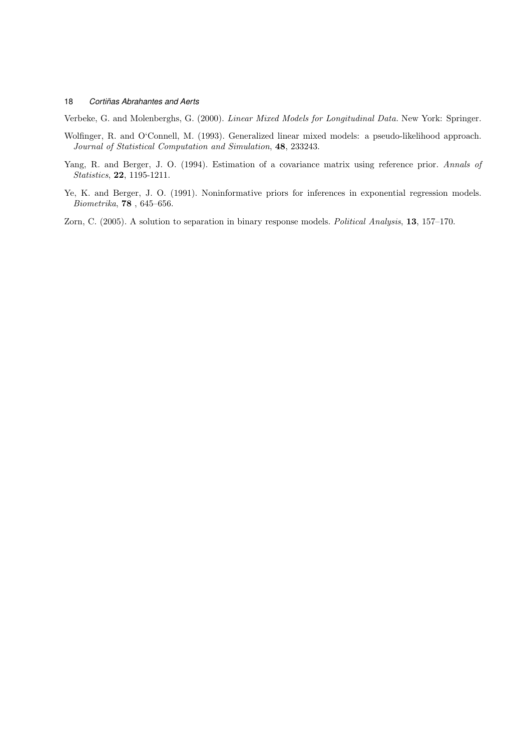Verbeke, G. and Molenberghs, G. (2000). *Linear Mixed Models for Longitudinal Data.* New York: Springer.

- Wolfinger, R. and O'Connell, M. (1993). Generalized linear mixed models: a pseudo-likelihood approach. *Journal of Statistical Computation and Simulation*, **48**, 233243.
- Yang, R. and Berger, J. O. (1994). Estimation of a covariance matrix using reference prior. *Annals of Statistics*, **22**, 1195-1211.
- Ye, K. and Berger, J. O. (1991). Noninformative priors for inferences in exponential regression models. *Biometrika*, **78** , 645–656.
- Zorn, C. (2005). A solution to separation in binary response models. *Political Analysis*, **13**, 157–170.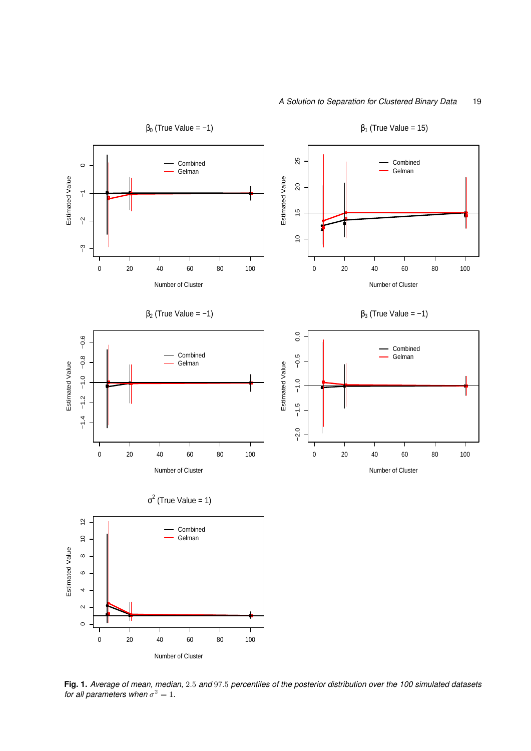

**Fig. 1.** *Average of mean, median,* 2*.*5 *and* 97*.*5 *percentiles of the posterior distribution over the 100 simulated datasets for all parameters when*  $\sigma^2 = 1$ *.*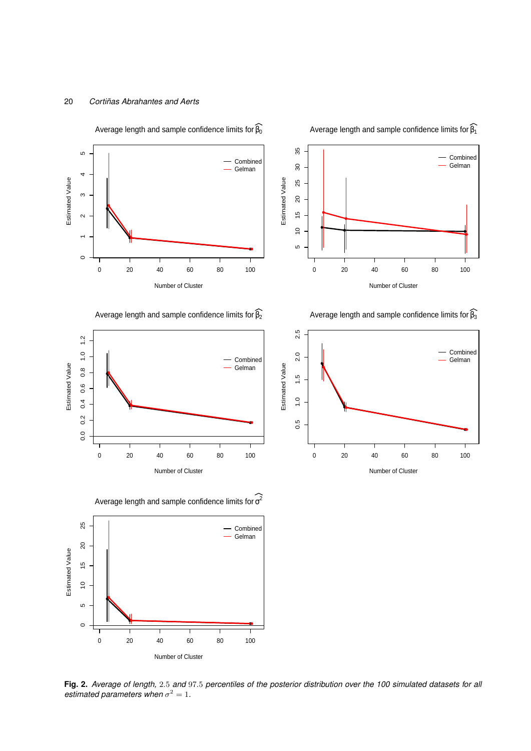

Average length and sample confidence limits for  $\widehat{\beta_0}$ 

35 5 10 15 20 25 30 35 Combined Gelman  $\overline{\mathrm{30}}$ Estimated Value Estimated Value 25  $20$  $\frac{6}{7}$  $\frac{1}{2}$ LO 0 20 40 60 80 100 Number of Cluster

Average length and sample confidence limits for  $\widehat{\beta_1}$ 

Average length and sample confidence limits for  $\widehat{\beta_3}$ 



Average length and sample confidence limits for  $\widehat{B_2}$ 



Average length and sample confidence limits for  $\sigma^2$ 



**Fig. 2.** *Average of length,* 2*.*5 *and* 97*.*5 *percentiles of the posterior distribution over the 100 simulated datasets for all estimated parameters when*  $\sigma^2 = 1$ .